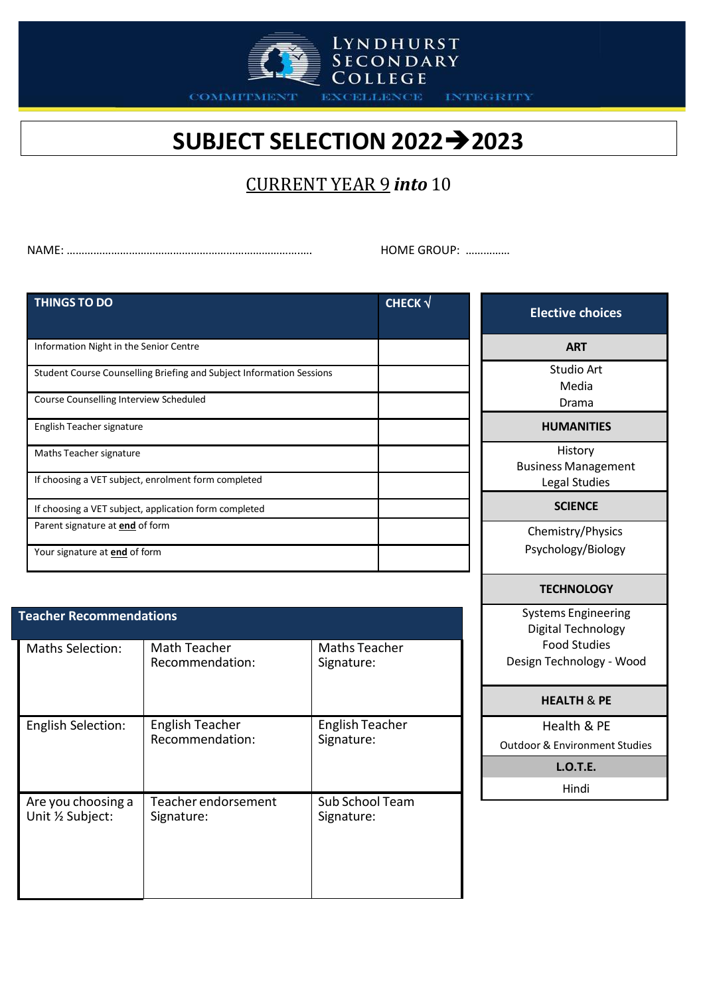

**INTEGRITY** 

## **SUBJECT SELECTION 20222023**

LYNDHURST<br>SECONDARY<br>COLLEGE

**EXCELLENCE** 

## CURRENT YEAR 9 *into* 10

NAME: …………………………………………………………………….…. HOME GROUP: ……………

| <b>THINGS TO DO</b>                                                                                            |                                                               |                                      | CHECK $\sqrt$ | <b>Elective choices</b>                                                                             |
|----------------------------------------------------------------------------------------------------------------|---------------------------------------------------------------|--------------------------------------|---------------|-----------------------------------------------------------------------------------------------------|
| Information Night in the Senior Centre                                                                         |                                                               |                                      |               | <b>ART</b>                                                                                          |
| Student Course Counselling Briefing and Subject Information Sessions<br>Course Counselling Interview Scheduled |                                                               |                                      |               | <b>Studio Art</b><br>Media<br>Drama                                                                 |
| English Teacher signature                                                                                      | <b>HUMANITIES</b>                                             |                                      |               |                                                                                                     |
| Maths Teacher signature<br>If choosing a VET subject, enrolment form completed                                 | History<br><b>Business Management</b><br><b>Legal Studies</b> |                                      |               |                                                                                                     |
| If choosing a VET subject, application form completed                                                          |                                                               |                                      |               | <b>SCIENCE</b>                                                                                      |
| Parent signature at <b>end</b> of form<br>Your signature at <b>end</b> of form                                 |                                                               |                                      |               | Chemistry/Physics<br>Psychology/Biology                                                             |
|                                                                                                                |                                                               |                                      |               | <b>TECHNOLOGY</b>                                                                                   |
| <b>Teacher Recommendations</b><br><b>Maths Selection:</b>                                                      | Math Teacher<br>Recommendation:                               | <b>Maths Teacher</b><br>Signature:   |               | <b>Systems Engineering</b><br>Digital Technology<br><b>Food Studies</b><br>Design Technology - Wood |
|                                                                                                                |                                                               |                                      |               | <b>HEALTH &amp; PE</b>                                                                              |
| <b>English Selection:</b>                                                                                      | <b>English Teacher</b><br>Recommendation:                     | <b>English Teacher</b><br>Signature: |               | Health & PE<br><b>Outdoor &amp; Environment Studies</b>                                             |
|                                                                                                                |                                                               |                                      |               | <b>L.O.T.E.</b><br>Hindi                                                                            |
| Are you choosing a<br>Unit 1/2 Subject:                                                                        | Teacher endorsement<br>Signature:                             | Sub School Team<br>Signature:        |               |                                                                                                     |